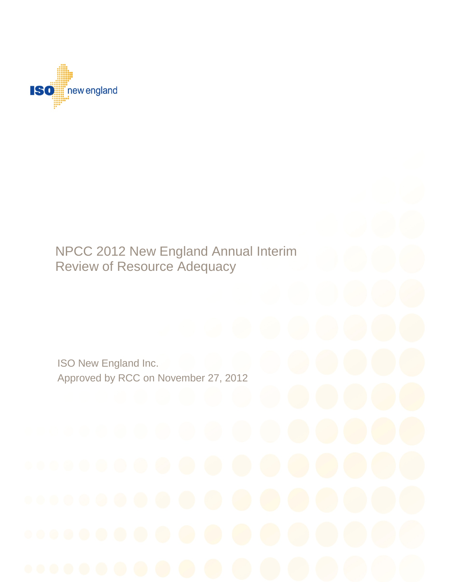

# Review of Resource Adequacy NPCC 2012 New England Annual Interim

ISO New England Inc. ISO New England Inc. Approved by RCC on November 27, 2012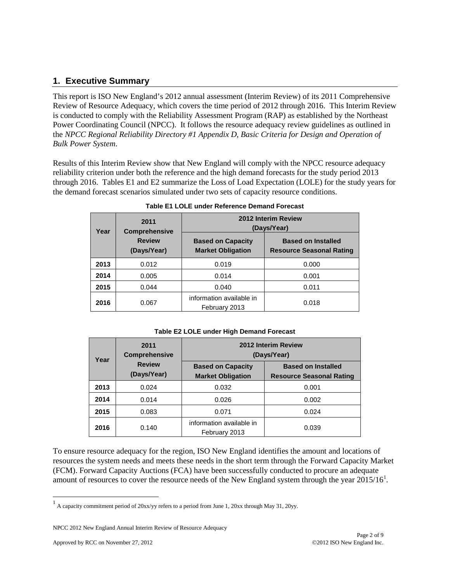# **1. Executive Summary**

This report is ISO New England's 2012 annual assessment (Interim Review) of its 2011 Comprehensive Review of Resource Adequacy, which covers the time period of 2012 through 2016. This Interim Review is conducted to comply with the Reliability Assessment Program (RAP) as established by the Northeast Power Coordinating Council (NPCC). It follows the resource adequacy review guidelines as outlined in the *NPCC Regional Reliability Directory #1 Appendix D, Basic Criteria for Design and Operation of Bulk Power System*.

Results of this Interim Review show that New England will comply with the NPCC resource adequacy reliability criterion under both the reference and the high demand forecasts for the study period 2013 through 2016. Tables E1 and E2 summarize the Loss of Load Expectation (LOLE) for the study years for the demand forecast scenarios simulated under two sets of capacity resource conditions.

| Year | 2011<br><b>Comprehensive</b> | 2012 Interim Review<br>(Days/Year)                   |                                                              |
|------|------------------------------|------------------------------------------------------|--------------------------------------------------------------|
|      | <b>Review</b><br>(Days/Year) | <b>Based on Capacity</b><br><b>Market Obligation</b> | <b>Based on Installed</b><br><b>Resource Seasonal Rating</b> |
| 2013 | 0.012                        | 0.019                                                | 0.000                                                        |
| 2014 | 0.005                        | 0.014                                                | 0.001                                                        |
| 2015 | 0.044                        | 0.040                                                | 0.011                                                        |
| 2016 | 0.067                        | information available in<br>February 2013            | 0.018                                                        |

**Table E1 LOLE under Reference Demand Forecast**

**Table E2 LOLE under High Demand Forecast**

| Year | 2011<br><b>Comprehensive</b> | 2012 Interim Review<br>(Days/Year)                   |                                                              |
|------|------------------------------|------------------------------------------------------|--------------------------------------------------------------|
|      | <b>Review</b><br>(Days/Year) | <b>Based on Capacity</b><br><b>Market Obligation</b> | <b>Based on Installed</b><br><b>Resource Seasonal Rating</b> |
| 2013 | 0.024                        | 0.032                                                | 0.001                                                        |
| 2014 | 0.014                        | 0.026                                                | 0.002                                                        |
| 2015 | 0.083                        | 0.071                                                | 0.024                                                        |
| 2016 | 0.140                        | information available in<br>February 2013            | 0.039                                                        |

To ensure resource adequacy for the region, ISO New England identifies the amount and locations of resources the system needs and meets these needs in the short term through the Forward Capacity Market (FCM). Forward Capacity Auctions (FCA) have been successfully conducted to procure an adequate amount of resources to cover the resource needs of the New England system through the year  $2015/16<sup>1</sup>$  $2015/16<sup>1</sup>$  $2015/16<sup>1</sup>$ .

<span id="page-1-0"></span> $1$  A capacity commitment period of 20xx/yy refers to a period from June 1, 20xx through May 31, 20yy.

NPCC 2012 New England Annual Interim Review of Resource Adequacy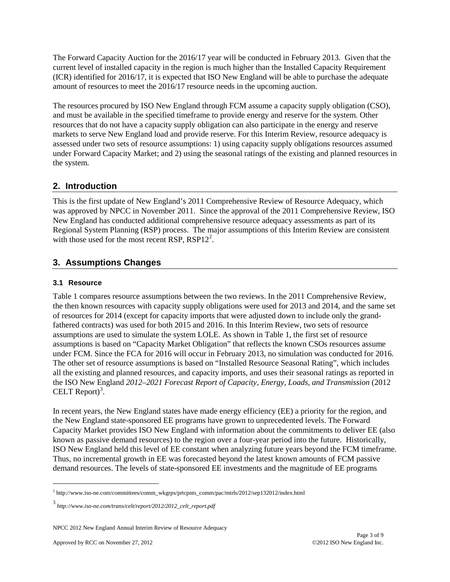The Forward Capacity Auction for the 2016/17 year will be conducted in February 2013. Given that the current level of installed capacity in the region is much higher than the Installed Capacity Requirement (ICR) identified for 2016/17, it is expected that ISO New England will be able to purchase the adequate amount of resources to meet the 2016/17 resource needs in the upcoming auction.

The resources procured by ISO New England through FCM assume a capacity supply obligation (CSO), and must be available in the specified timeframe to provide energy and reserve for the system. Other resources that do not have a capacity supply obligation can also participate in the energy and reserve markets to serve New England load and provide reserve. For this Interim Review, resource adequacy is assessed under two sets of resource assumptions: 1) using capacity supply obligations resources assumed under Forward Capacity Market; and 2) using the seasonal ratings of the existing and planned resources in the system.

# **2. Introduction**

This is the first update of New England's 2011 Comprehensive Review of Resource Adequacy, which was approved by NPCC in November 2011. Since the approval of the 2011 Comprehensive Review, ISO New England has conducted additional comprehensive resource adequacy assessments as part of its Regional System Planning (RSP) process. The major assumptions of this Interim Review are consistent with those used for the most recent RSP,  $RSP12^2$  $RSP12^2$  $RSP12^2$ .

# **3. Assumptions Changes**

## **3.1 Resource**

Table 1 compares resource assumptions between the two reviews. In the 2011 Comprehensive Review, the then known resources with capacity supply obligations were used for 2013 and 2014, and the same set of resources for 2014 (except for capacity imports that were adjusted down to include only the grandfathered contracts) was used for both 2015 and 2016. In this Interim Review, two sets of resource assumptions are used to simulate the system LOLE. As shown in Table 1, the first set of resource assumptions is based on "Capacity Market Obligation" that reflects the known CSOs resources assume under FCM. Since the FCA for 2016 will occur in February 2013, no simulation was conducted for 2016. The other set of resource assumptions is based on "Installed Resource Seasonal Rating", which includes all the existing and planned resources, and capacity imports, and uses their seasonal ratings as reported in the ISO New England *2012–2021 Forecast Report of Capacity, Energy, Loads, and Transmission* (2012 CELT Report) $3$ .

In recent years, the New England states have made energy efficiency (EE) a priority for the region, and the New England state-sponsored EE programs have grown to unprecedented levels. The Forward Capacity Market provides ISO New England with information about the commitments to deliver EE (also known as passive demand resources) to the region over a four-year period into the future. Historically, ISO New England held this level of EE constant when analyzing future years beyond the FCM timeframe. Thus, no incremental growth in EE was forecasted beyond the latest known amounts of FCM passive demand resources. The levels of state-sponsored EE investments and the magnitude of EE programs

NPCC 2012 New England Annual Interim Review of Resource Adequacy

<span id="page-2-0"></span> <sup>2</sup> http://www.iso-ne.com/committees/comm\_wkgrps/prtcpnts\_comm/pac/mtrls/2012/sep132012/index.html

<span id="page-2-1"></span><sup>3</sup> *http://www.iso-ne.com/trans/celt/report/2012/2012\_celt\_report.pdf*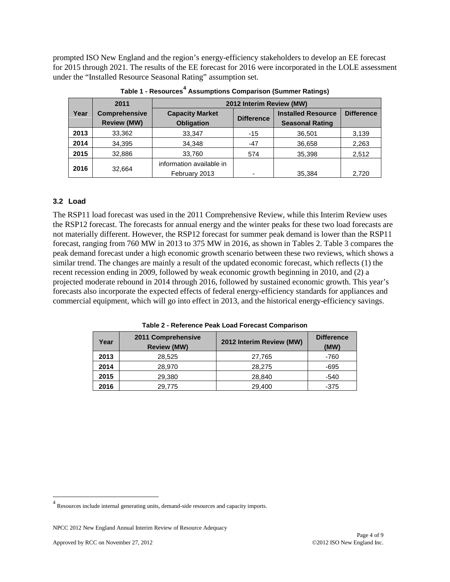prompted ISO New England and the region's energy-efficiency stakeholders to develop an EE forecast for 2015 through 2021. The results of the EE forecast for 2016 were incorporated in the LOLE assessment under the "Installed Resource Seasonal Rating" assumption set.

|      | 2011                                       | 2012 Interim Review (MW)                    |                   |                                                     |                   |
|------|--------------------------------------------|---------------------------------------------|-------------------|-----------------------------------------------------|-------------------|
| Year | <b>Comprehensive</b><br><b>Review (MW)</b> | <b>Capacity Market</b><br><b>Obligation</b> | <b>Difference</b> | <b>Installed Resource</b><br><b>Seasonal Rating</b> | <b>Difference</b> |
| 2013 | 33,362                                     | 33,347                                      | $-15$             | 36,501                                              | 3,139             |
| 2014 | 34,395                                     | 34.348                                      | $-47$             | 36,658                                              | 2,263             |
| 2015 | 32,886                                     | 33,760                                      | 574               | 35.398                                              | 2,512             |
| 2016 | 32.664                                     | information available in<br>February 2013   | -                 | 35.384                                              | 2.720             |

**Table 1 - Resources[4](#page-3-0) Assumptions Comparison (Summer Ratings)**

#### **3.2 Load**

The RSP11 load forecast was used in the 2011 Comprehensive Review, while this Interim Review uses the RSP12 forecast. The forecasts for annual energy and the winter peaks for these two load forecasts are not materially different. However, the RSP12 forecast for summer peak demand is lower than the RSP11 forecast, ranging from 760 MW in 2013 to 375 MW in 2016, as shown in Tables 2. Table 3 compares the peak demand forecast under a high economic growth scenario between these two reviews, which shows a similar trend. The changes are mainly a result of the updated economic forecast, which reflects (1) the recent recession ending in 2009, followed by weak economic growth beginning in 2010, and (2) a projected moderate rebound in 2014 through 2016, followed by sustained economic growth. This year's forecasts also incorporate the expected effects of federal energy-efficiency standards for appliances and commercial equipment, which will go into effect in 2013, and the historical energy-efficiency savings.

| Year | 2011 Comprehensive<br><b>Review (MW)</b> | 2012 Interim Review (MW) | <b>Difference</b><br>(MW) |
|------|------------------------------------------|--------------------------|---------------------------|
| 2013 | 28,525                                   | 27,765                   | -760                      |
| 2014 | 28,970                                   | 28.275                   | -695                      |
| 2015 | 29,380                                   | 28,840                   | -540                      |
| 2016 | 29,775                                   | 29,400                   | $-375$                    |

**Table 2 - Reference Peak Load Forecast Comparison**

<span id="page-3-0"></span> $^4$  Resources include internal generating units, demand-side resources and capacity imports.

NPCC 2012 New England Annual Interim Review of Resource Adequacy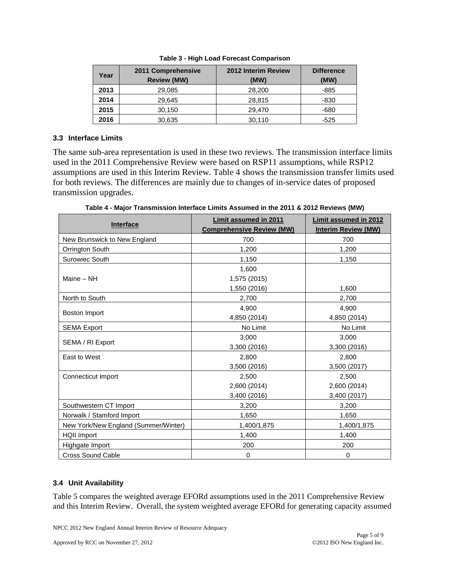| Year | 2011 Comprehensive<br><b>Review (MW)</b> | 2012 Interim Review<br>(MW) | <b>Difference</b><br>(MW) |
|------|------------------------------------------|-----------------------------|---------------------------|
| 2013 | 29,085                                   | 28,200                      | -885                      |
| 2014 | 29,645                                   | 28,815                      | -830                      |
| 2015 | 30,150                                   | 29.470                      | -680                      |
| 2016 | 30,635                                   | 30,110                      | -525                      |

**Table 3 - High Load Forecast Comparison**

## **3.3 Interface Limits**

The same sub-area representation is used in these two reviews. The transmission interface limits used in the 2011 Comprehensive Review were based on RSP11 assumptions, while RSP12 assumptions are used in this Interim Review. Table 4 shows the transmission transfer limits used for both reviews. The differences are mainly due to changes of in-service dates of proposed transmission upgrades.

**Interface Limit assumed in 2011 Comprehensive Review (MW) Limit assumed in 2012 Interim Review (MW)** New Brunswick to New England  $\vert$  700 700 700 Orrington South 1,200 1,200 1,200 Surowiec South 1,150 1,150 1,150 Maine – NH 1,600 1,575 (2015) 1,550 (2016) 1,600 North to South 2,700 2,700 2,700 Boston Import 4,900 4,850 (2014) 4,900 4,850 (2014) SEMA Export  $\begin{array}{|c|c|c|c|c|c|}\n\hline\n\end{array}$  No Limit  $\begin{array}{|c|c|c|c|c|c|}\n\hline\n\end{array}$  No Limit SEMA / RI Export 3,000 3,300 (2016) 3,000 3,300 (2016) East to West 2.800 3,500 (2016) 2,800 3,500 (2017) Connecticut Import 2,500 2,600 (2014) 3,400 (2016) 2,500 2,600 (2014) 3,400 (2017) Southwestern CT Import 1 1 1 1 2,200 3,200 3,200 Norwalk / Stamford Import 1,650 1,650 1,650 New York/New England (Summer/Winter) 1,400/1,875 1,400/1,875 1,400/1,875 HQII Import 1,400 1,400 1,400 Highgate Import 200 200 200 Cross Sound Cable 0 0

**Table 4 - Major Transmission Interface Limits Assumed in the 2011 & 2012 Reviews (MW)**

## **3.4 Unit Availability**

Table 5 compares the weighted average EFORd assumptions used in the 2011 Comprehensive Review and this Interim Review. Overall, the system weighted average EFORd for generating capacity assumed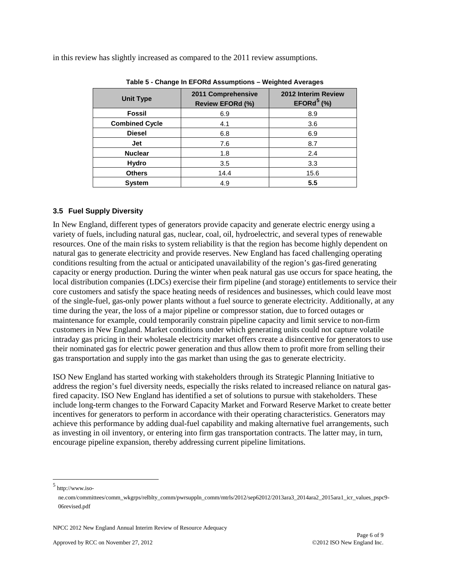| $140000$ Onango in El Orta Aboumptiono Troigntou Aronagoo |                                               |                                                  |  |
|-----------------------------------------------------------|-----------------------------------------------|--------------------------------------------------|--|
| <b>Unit Type</b>                                          | 2011 Comprehensive<br><b>Review EFORd (%)</b> | 2012 Interim Review<br>EFORd <sup>5</sup> $(\%)$ |  |
| <b>Fossil</b>                                             | 6.9                                           | 8.9                                              |  |
| <b>Combined Cycle</b>                                     | 4.1                                           | 3.6                                              |  |
| <b>Diesel</b>                                             | 6.8                                           | 6.9                                              |  |
| Jet                                                       | 7.6                                           | 8.7                                              |  |
| <b>Nuclear</b>                                            | 1.8                                           | 2.4                                              |  |
| Hydro                                                     | 3.5                                           | 3.3                                              |  |
| <b>Others</b>                                             | 14.4                                          | 15.6                                             |  |
| <b>System</b>                                             | 4.9                                           | 5.5                                              |  |

in this review has slightly increased as compared to the 2011 review assumptions.

#### **Table 5 - Change In EFORd Assumptions – Weighted Averages**

#### **3.5 Fuel Supply Diversity**

In New England, different types of generators provide capacity and generate electric energy using a variety of fuels, including natural gas, nuclear, coal, oil, hydroelectric, and several types of renewable resources. One of the main risks to system reliability is that the region has become highly dependent on natural gas to generate electricity and provide reserves. New England has faced challenging operating conditions resulting from the actual or anticipated unavailability of the region's gas-fired generating capacity or energy production. During the winter when peak natural gas use occurs for space heating, the local distribution companies (LDCs) exercise their firm pipeline (and storage) entitlements to service their core customers and satisfy the space heating needs of residences and businesses, which could leave most of the single-fuel, gas-only power plants without a fuel source to generate electricity. Additionally, at any time during the year, the loss of a major pipeline or compressor station, due to forced outages or maintenance for example, could temporarily constrain pipeline capacity and limit service to non-firm customers in New England. Market conditions under which generating units could not capture volatile intraday gas pricing in their wholesale electricity market offers create a disincentive for generators to use their nominated gas for electric power generation and thus allow them to profit more from selling their gas transportation and supply into the gas market than using the gas to generate electricity.

ISO New England has started working with stakeholders through its Strategic Planning Initiative to address the region's fuel diversity needs, especially the risks related to increased reliance on natural gasfired capacity. ISO New England has identified a set of solutions to pursue with stakeholders. These include long-term changes to the Forward Capacity Market and Forward Reserve Market to create better incentives for generators to perform in accordance with their operating characteristics. Generators may achieve this performance by adding dual-fuel capability and making alternative fuel arrangements, such as investing in oil inventory, or entering into firm gas transportation contracts. The latter may, in turn, encourage pipeline expansion, thereby addressing current pipeline limitations.

<span id="page-5-0"></span>http://www.iso-

ne.com/committees/comm\_wkgrps/relblty\_comm/pwrsuppln\_comm/mtrls/2012/sep62012/2013ara3\_2014ara2\_2015ara1\_icr\_values\_pspc9- 06revised.pdf

NPCC 2012 New England Annual Interim Review of Resource Adequacy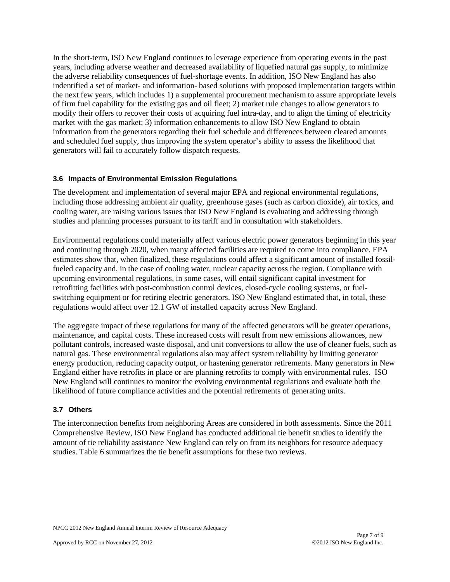In the short-term, ISO New England continues to leverage experience from operating events in the past years, including adverse weather and decreased availability of liquefied natural gas supply, to minimize the adverse reliability consequences of fuel-shortage events. In addition, ISO New England has also indentified a set of market- and information- based solutions with proposed implementation targets within the next few years, which includes 1) a supplemental procurement mechanism to assure appropriate levels of firm fuel capability for the existing gas and oil fleet; 2) market rule changes to allow generators to modify their offers to recover their costs of acquiring fuel intra-day, and to align the timing of electricity market with the gas market; 3) information enhancements to allow ISO New England to obtain information from the generators regarding their fuel schedule and differences between cleared amounts and scheduled fuel supply, thus improving the system operator's ability to assess the likelihood that generators will fail to accurately follow dispatch requests.

## **3.6 Impacts of Environmental Emission Regulations**

The development and implementation of several major EPA and regional environmental regulations, including those addressing ambient air quality, greenhouse gases (such as carbon dioxide), air toxics, and cooling water, are raising various issues that ISO New England is evaluating and addressing through studies and planning processes pursuant to its tariff and in consultation with stakeholders.

Environmental regulations could materially affect various electric power generators beginning in this year and continuing through 2020, when many affected facilities are required to come into compliance. EPA estimates show that, when finalized, these regulations could affect a significant amount of installed fossilfueled capacity and, in the case of cooling water, nuclear capacity across the region. Compliance with upcoming environmental regulations, in some cases, will entail significant capital investment for retrofitting facilities with post-combustion control devices, closed-cycle cooling systems, or fuelswitching equipment or for retiring electric generators. ISO New England estimated that, in total, these regulations would affect over 12.1 GW of installed capacity across New England.

The aggregate impact of these regulations for many of the affected generators will be greater operations, maintenance, and capital costs. These increased costs will result from new emissions allowances, new pollutant controls, increased waste disposal, and unit conversions to allow the use of cleaner fuels, such as natural gas. These environmental regulations also may affect system reliability by limiting generator energy production, reducing capacity output, or hastening generator retirements. Many generators in New England either have retrofits in place or are planning retrofits to comply with environmental rules. ISO New England will continues to monitor the evolving environmental regulations and evaluate both the likelihood of future compliance activities and the potential retirements of generating units.

## **3.7 Others**

The interconnection benefits from neighboring Areas are considered in both assessments. Since the 2011 Comprehensive Review, ISO New England has conducted additional tie benefit studies to identify the amount of tie reliability assistance New England can rely on from its neighbors for resource adequacy studies. Table 6 summarizes the tie benefit assumptions for these two reviews.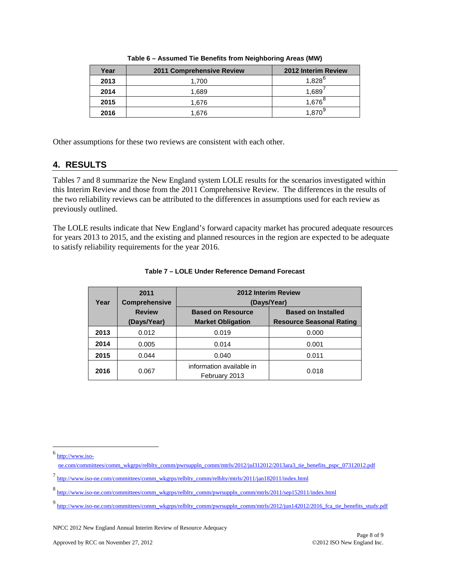| Year | 2011 Comprehensive Review | 2012 Interim Review |
|------|---------------------------|---------------------|
| 2013 | 1.700                     | $1,828^{6}$         |
| 2014 | 1,689                     | 1,689               |
| 2015 | 1.676                     | $1,676^8$           |
| 2016 | 1.676                     | 870                 |

**Table 6 – Assumed Tie Benefits from Neighboring Areas (MW)**

Other assumptions for these two reviews are consistent with each other.

## **4. RESULTS**

Tables 7 and 8 summarize the New England system LOLE results for the scenarios investigated within this Interim Review and those from the 2011 Comprehensive Review. The differences in the results of the two reliability reviews can be attributed to the differences in assumptions used for each review as previously outlined.

The LOLE results indicate that New England's forward capacity market has procured adequate resources for years 2013 to 2015, and the existing and planned resources in the region are expected to be adequate to satisfy reliability requirements for the year 2016.

| Year | 2011<br><b>Comprehensive</b> | 2012 Interim Review<br>(Days/Year)<br><b>Based on Installed</b><br><b>Based on Resource</b> |                                 |
|------|------------------------------|---------------------------------------------------------------------------------------------|---------------------------------|
|      | <b>Review</b>                |                                                                                             |                                 |
|      | (Days/Year)                  | <b>Market Obligation</b>                                                                    | <b>Resource Seasonal Rating</b> |
| 2013 | 0.012                        | 0.019                                                                                       | 0.000                           |
| 2014 | 0.005                        | 0.014                                                                                       | 0.001                           |
| 2015 | 0.044                        | 0.040                                                                                       | 0.011                           |
| 2016 | 0.067                        | information available in<br>February 2013                                                   | 0.018                           |

#### **Table 7 – LOLE Under Reference Demand Forecast**

<span id="page-7-0"></span> $6$  [http://www.iso-](http://www.iso-ne.com/committees/comm_wkgrps/relblty_comm/pwrsuppln_comm/mtrls/2012/jul312012/2013ara3_tie_benefits_pspc_07312012.pdf)

[ne.com/committees/comm\\_wkgrps/relblty\\_comm/pwrsuppln\\_comm/mtrls/2012/jul312012/2013ara3\\_tie\\_benefits\\_pspc\\_07312012.pdf](http://www.iso-ne.com/committees/comm_wkgrps/relblty_comm/pwrsuppln_comm/mtrls/2012/jul312012/2013ara3_tie_benefits_pspc_07312012.pdf)

<span id="page-7-1"></span><sup>7</sup> [http://www.iso-ne.com/committees/comm\\_wkgrps/relblty\\_comm/relblty/mtrls/2011/jan182011/index.html](http://www.iso-ne.com/committees/comm_wkgrps/relblty_comm/relblty/mtrls/2011/jan182011/index.html)

<span id="page-7-2"></span><sup>8</sup> [http://www.iso-ne.com/committees/comm\\_wkgrps/relblty\\_comm/pwrsuppln\\_comm/mtrls/2011/sep152011/index.html](http://www.iso-ne.com/committees/comm_wkgrps/relblty_comm/pwrsuppln_comm/mtrls/2011/sep152011/index.html)

<span id="page-7-3"></span><sup>9&</sup>lt;br>[http://www.iso-ne.com/committees/comm\\_wkgrps/relblty\\_comm/pwrsuppln\\_comm/mtrls/2012/jun142012/2016\\_fca\\_tie\\_benefits\\_study.pdf](http://www.iso-ne.com/committees/comm_wkgrps/relblty_comm/pwrsuppln_comm/mtrls/2012/jun142012/2016_fca_tie_benefits_study.pdf)

NPCC 2012 New England Annual Interim Review of Resource Adequacy